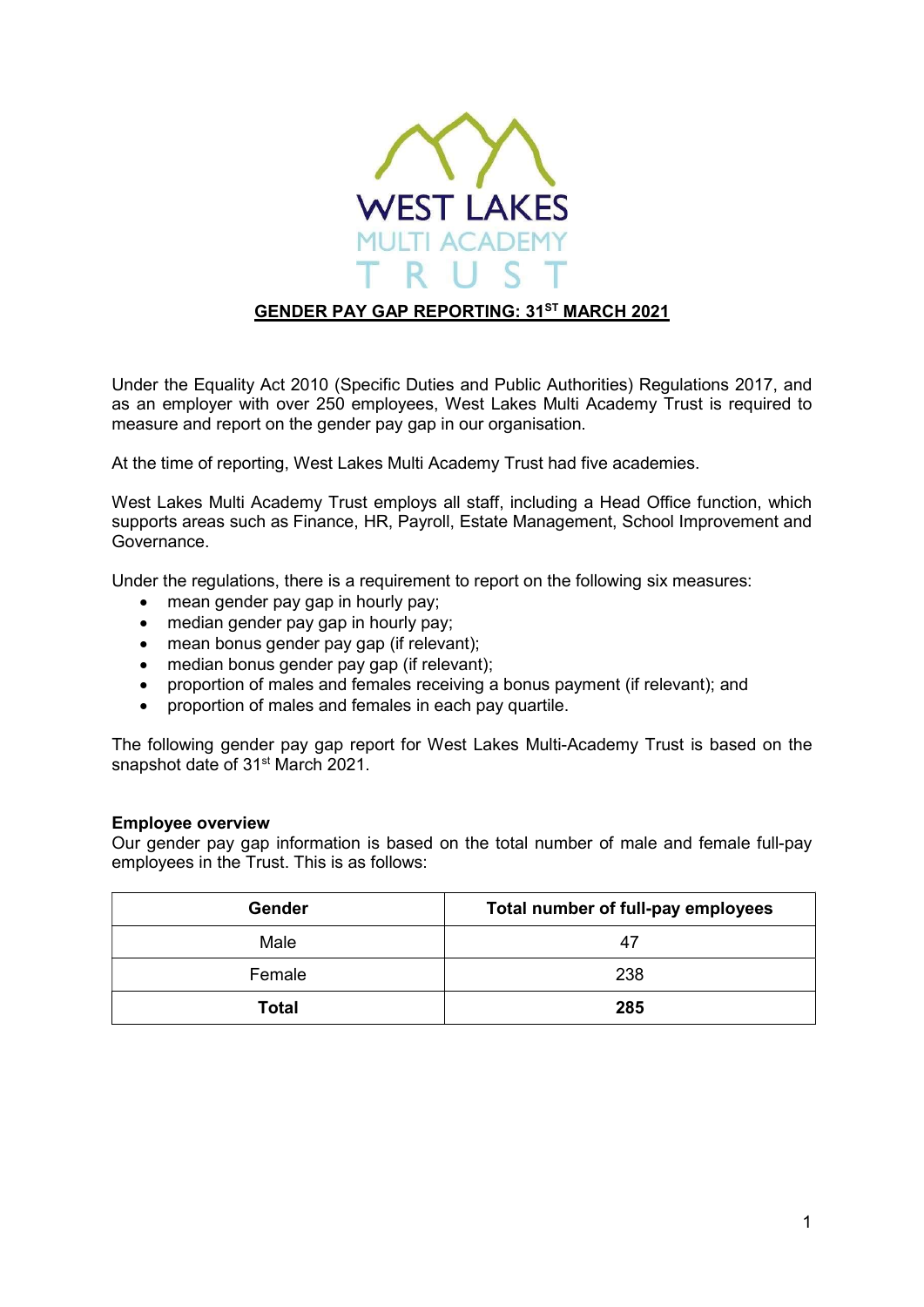

# GENDER PAY GAP REPORTING: 31ST MARCH 2021

Under the Equality Act 2010 (Specific Duties and Public Authorities) Regulations 2017, and as an employer with over 250 employees, West Lakes Multi Academy Trust is required to measure and report on the gender pay gap in our organisation.

At the time of reporting, West Lakes Multi Academy Trust had five academies.

West Lakes Multi Academy Trust employs all staff, including a Head Office function, which supports areas such as Finance, HR, Payroll, Estate Management, School Improvement and Governance.

Under the regulations, there is a requirement to report on the following six measures:

- mean gender pay gap in hourly pay;
- median gender pay gap in hourly pay;
- mean bonus gender pay gap (if relevant);
- median bonus gender pay gap (if relevant);
- proportion of males and females receiving a bonus payment (if relevant); and
- proportion of males and females in each pay quartile.

The following gender pay gap report for West Lakes Multi-Academy Trust is based on the snapshot date of 31<sup>st</sup> March 2021.

#### Employee overview

Our gender pay gap information is based on the total number of male and female full-pay employees in the Trust. This is as follows:

| Gender       | Total number of full-pay employees |
|--------------|------------------------------------|
| Male         | 47                                 |
| Female       | 238                                |
| <b>Total</b> | 285                                |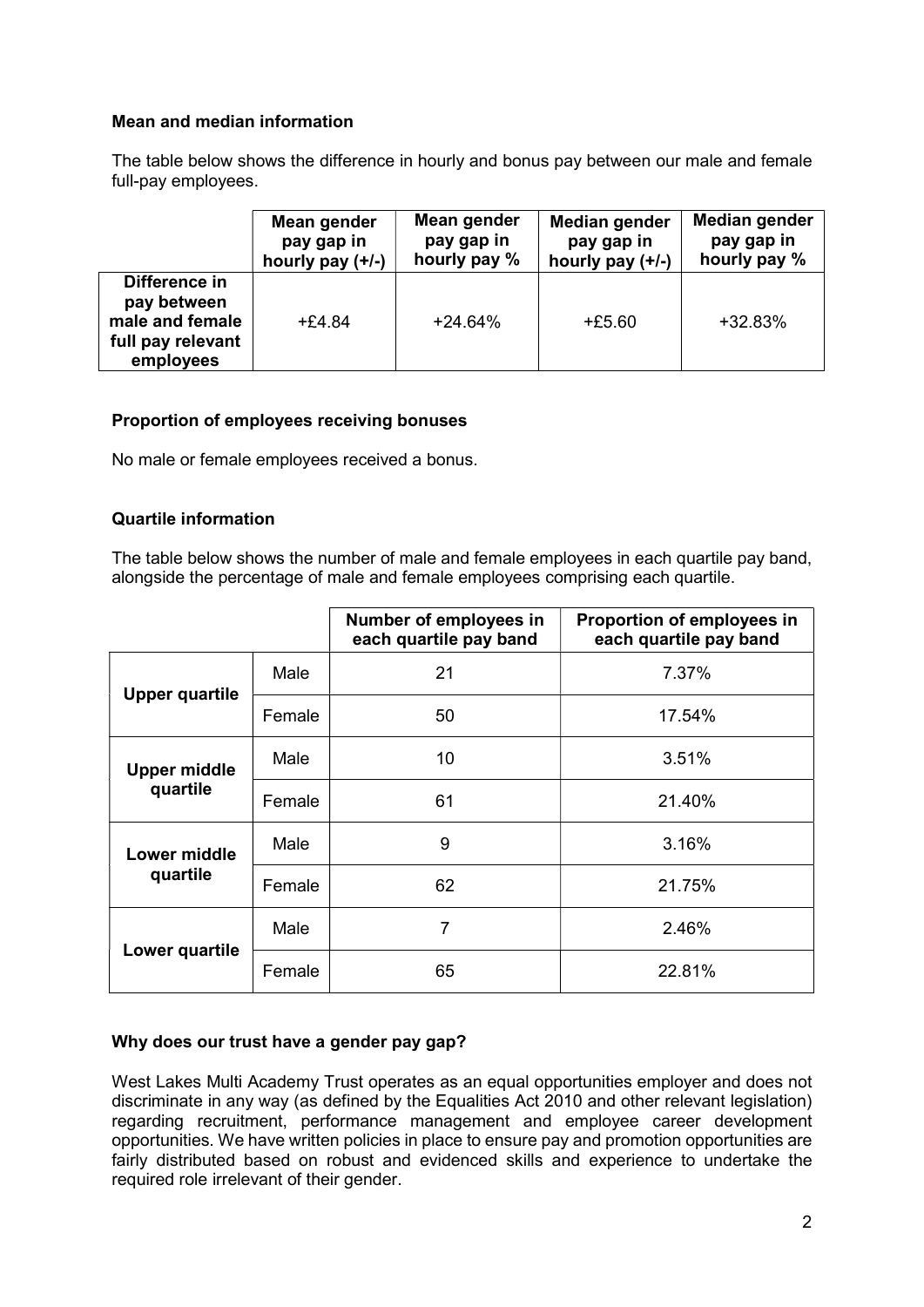# Mean and median information

The table below shows the difference in hourly and bonus pay between our male and female full-pay employees.

|                                                                                   | Mean gender      | Mean gender  | Median gender    | Median gender |
|-----------------------------------------------------------------------------------|------------------|--------------|------------------|---------------|
|                                                                                   | pay gap in       | pay gap in   | pay gap in       | pay gap in    |
|                                                                                   | hourly pay (+/-) | hourly pay % | hourly pay (+/-) | hourly pay %  |
| Difference in<br>pay between<br>male and female<br>full pay relevant<br>employees | $+£4.84$         | $+24.64%$    | $+£5.60$         | $+32.83%$     |

### Proportion of employees receiving bonuses

No male or female employees received a bonus.

### Quartile information

The table below shows the number of male and female employees in each quartile pay band, alongside the percentage of male and female employees comprising each quartile.

|                                 |        | Number of employees in<br>each quartile pay band | Proportion of employees in<br>each quartile pay band |
|---------------------------------|--------|--------------------------------------------------|------------------------------------------------------|
| <b>Upper quartile</b>           | Male   | 21                                               | 7.37%                                                |
|                                 | Female | 50                                               | 17.54%                                               |
| <b>Upper middle</b><br>quartile | Male   | 10                                               | 3.51%                                                |
|                                 | Female | 61                                               | 21.40%                                               |
| Lower middle<br>quartile        | Male   | 9                                                | 3.16%                                                |
|                                 | Female | 62                                               | 21.75%                                               |
| Lower quartile                  | Male   | 7                                                | 2.46%                                                |
|                                 | Female | 65                                               | 22.81%                                               |

### Why does our trust have a gender pay gap?

West Lakes Multi Academy Trust operates as an equal opportunities employer and does not discriminate in any way (as defined by the Equalities Act 2010 and other relevant legislation) regarding recruitment, performance management and employee career development opportunities. We have written policies in place to ensure pay and promotion opportunities are fairly distributed based on robust and evidenced skills and experience to undertake the required role irrelevant of their gender.